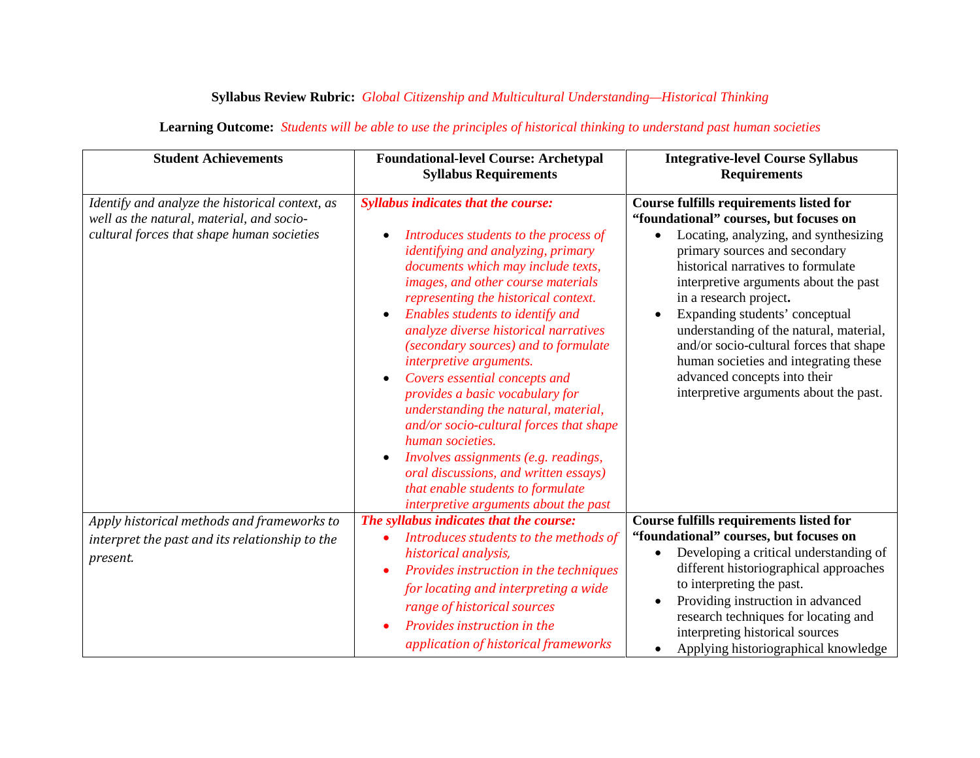## **Syllabus Review Rubric:** *Global Citizenship and Multicultural Understanding—Historical Thinking*

| <b>Student Achievements</b>                                                                                                                | <b>Foundational-level Course: Archetypal</b><br><b>Syllabus Requirements</b>                                                                                                                                                                                                                                                                                                                                                                                                                                                                                                                                                                                                                                                                   | <b>Integrative-level Course Syllabus</b><br><b>Requirements</b>                                                                                                                                                                                                                                                                                                                                                                                                                                                        |
|--------------------------------------------------------------------------------------------------------------------------------------------|------------------------------------------------------------------------------------------------------------------------------------------------------------------------------------------------------------------------------------------------------------------------------------------------------------------------------------------------------------------------------------------------------------------------------------------------------------------------------------------------------------------------------------------------------------------------------------------------------------------------------------------------------------------------------------------------------------------------------------------------|------------------------------------------------------------------------------------------------------------------------------------------------------------------------------------------------------------------------------------------------------------------------------------------------------------------------------------------------------------------------------------------------------------------------------------------------------------------------------------------------------------------------|
| Identify and analyze the historical context, as<br>well as the natural, material, and socio-<br>cultural forces that shape human societies | <b>Syllabus indicates that the course:</b><br>Introduces students to the process of<br><i>identifying and analyzing, primary</i><br>documents which may include texts,<br>images, and other course materials<br>representing the historical context.<br>Enables students to identify and<br>analyze diverse historical narratives<br>(secondary sources) and to formulate<br>interpretive arguments.<br>Covers essential concepts and<br>provides a basic vocabulary for<br>understanding the natural, material,<br>and/or socio-cultural forces that shape<br>human societies.<br>Involves assignments (e.g. readings,<br>oral discussions, and written essays)<br>that enable students to formulate<br>interpretive arguments about the past | <b>Course fulfills requirements listed for</b><br>"foundational" courses, but focuses on<br>Locating, analyzing, and synthesizing<br>primary sources and secondary<br>historical narratives to formulate<br>interpretive arguments about the past<br>in a research project.<br>Expanding students' conceptual<br>understanding of the natural, material,<br>and/or socio-cultural forces that shape<br>human societies and integrating these<br>advanced concepts into their<br>interpretive arguments about the past. |
| Apply historical methods and frameworks to                                                                                                 | The syllabus indicates that the course:                                                                                                                                                                                                                                                                                                                                                                                                                                                                                                                                                                                                                                                                                                        | Course fulfills requirements listed for                                                                                                                                                                                                                                                                                                                                                                                                                                                                                |
| interpret the past and its relationship to the                                                                                             | Introduces students to the methods of                                                                                                                                                                                                                                                                                                                                                                                                                                                                                                                                                                                                                                                                                                          | "foundational" courses, but focuses on                                                                                                                                                                                                                                                                                                                                                                                                                                                                                 |
| present.                                                                                                                                   | historical analysis,<br>Provides instruction in the techniques<br>$\bullet$<br>for locating and interpreting a wide<br>range of historical sources<br>Provides instruction in the<br>application of historical frameworks                                                                                                                                                                                                                                                                                                                                                                                                                                                                                                                      | Developing a critical understanding of<br>different historiographical approaches<br>to interpreting the past.<br>Providing instruction in advanced<br>research techniques for locating and<br>interpreting historical sources<br>Applying historiographical knowledge<br>$\bullet$                                                                                                                                                                                                                                     |

## **Learning Outcome:** *Students will be able to use the principles of historical thinking to understand past human societies*